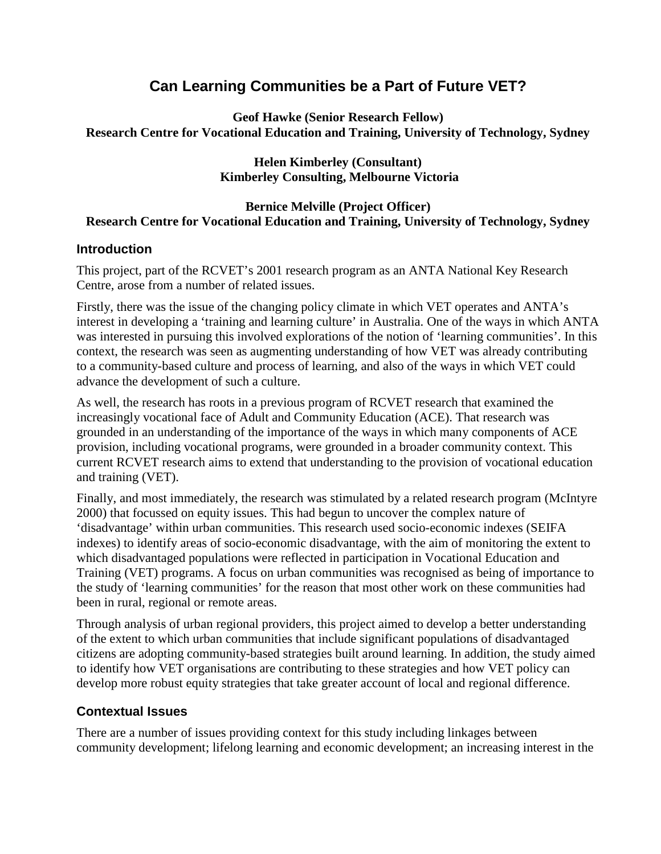# **Can Learning Communities be a Part of Future VET?**

**Geof Hawke (Senior Research Fellow) Research Centre for Vocational Education and Training, University of Technology, Sydney** 

#### **Helen Kimberley (Consultant) Kimberley Consulting, Melbourne Victoria**

#### **Bernice Melville (Project Officer) Research Centre for Vocational Education and Training, University of Technology, Sydney**

### **Introduction**

This project, part of the RCVET's 2001 research program as an ANTA National Key Research Centre, arose from a number of related issues.

Firstly, there was the issue of the changing policy climate in which VET operates and ANTA's interest in developing a 'training and learning culture' in Australia. One of the ways in which ANTA was interested in pursuing this involved explorations of the notion of 'learning communities'. In this context, the research was seen as augmenting understanding of how VET was already contributing to a community-based culture and process of learning, and also of the ways in which VET could advance the development of such a culture.

As well, the research has roots in a previous program of RCVET research that examined the increasingly vocational face of Adult and Community Education (ACE). That research was grounded in an understanding of the importance of the ways in which many components of ACE provision, including vocational programs, were grounded in a broader community context. This current RCVET research aims to extend that understanding to the provision of vocational education and training (VET).

Finally, and most immediately, the research was stimulated by a related research program (McIntyre 2000) that focussed on equity issues. This had begun to uncover the complex nature of 'disadvantage' within urban communities. This research used socio-economic indexes (SEIFA indexes) to identify areas of socio-economic disadvantage, with the aim of monitoring the extent to which disadvantaged populations were reflected in participation in Vocational Education and Training (VET) programs. A focus on urban communities was recognised as being of importance to the study of 'learning communities' for the reason that most other work on these communities had been in rural, regional or remote areas.

Through analysis of urban regional providers, this project aimed to develop a better understanding of the extent to which urban communities that include significant populations of disadvantaged citizens are adopting community-based strategies built around learning. In addition, the study aimed to identify how VET organisations are contributing to these strategies and how VET policy can develop more robust equity strategies that take greater account of local and regional difference.

# **Contextual Issues**

There are a number of issues providing context for this study including linkages between community development; lifelong learning and economic development; an increasing interest in the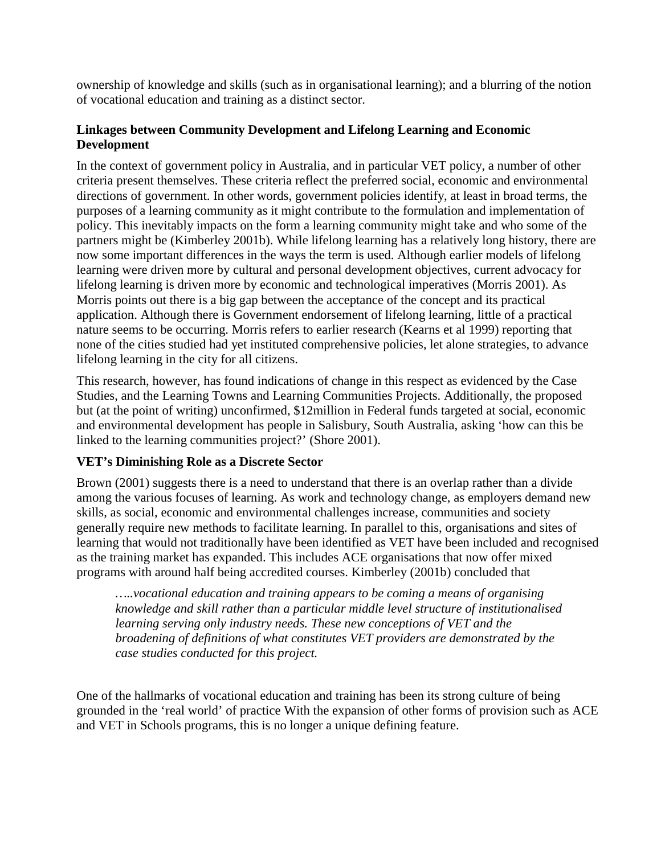ownership of knowledge and skills (such as in organisational learning); and a blurring of the notion of vocational education and training as a distinct sector.

### **Linkages between Community Development and Lifelong Learning and Economic Development**

In the context of government policy in Australia, and in particular VET policy, a number of other criteria present themselves. These criteria reflect the preferred social, economic and environmental directions of government. In other words, government policies identify, at least in broad terms, the purposes of a learning community as it might contribute to the formulation and implementation of policy. This inevitably impacts on the form a learning community might take and who some of the partners might be (Kimberley 2001b). While lifelong learning has a relatively long history, there are now some important differences in the ways the term is used. Although earlier models of lifelong learning were driven more by cultural and personal development objectives, current advocacy for lifelong learning is driven more by economic and technological imperatives (Morris 2001). As Morris points out there is a big gap between the acceptance of the concept and its practical application. Although there is Government endorsement of lifelong learning, little of a practical nature seems to be occurring. Morris refers to earlier research (Kearns et al 1999) reporting that none of the cities studied had yet instituted comprehensive policies, let alone strategies, to advance lifelong learning in the city for all citizens.

This research, however, has found indications of change in this respect as evidenced by the Case Studies, and the Learning Towns and Learning Communities Projects. Additionally, the proposed but (at the point of writing) unconfirmed, \$12million in Federal funds targeted at social, economic and environmental development has people in Salisbury, South Australia, asking 'how can this be linked to the learning communities project?' (Shore 2001).

# **VET's Diminishing Role as a Discrete Sector**

Brown (2001) suggests there is a need to understand that there is an overlap rather than a divide among the various focuses of learning. As work and technology change, as employers demand new skills, as social, economic and environmental challenges increase, communities and society generally require new methods to facilitate learning. In parallel to this, organisations and sites of learning that would not traditionally have been identified as VET have been included and recognised as the training market has expanded. This includes ACE organisations that now offer mixed programs with around half being accredited courses. Kimberley (2001b) concluded that

*…..vocational education and training appears to be coming a means of organising knowledge and skill rather than a particular middle level structure of institutionalised learning serving only industry needs. These new conceptions of VET and the broadening of definitions of what constitutes VET providers are demonstrated by the case studies conducted for this project.* 

One of the hallmarks of vocational education and training has been its strong culture of being grounded in the 'real world' of practice With the expansion of other forms of provision such as ACE and VET in Schools programs, this is no longer a unique defining feature.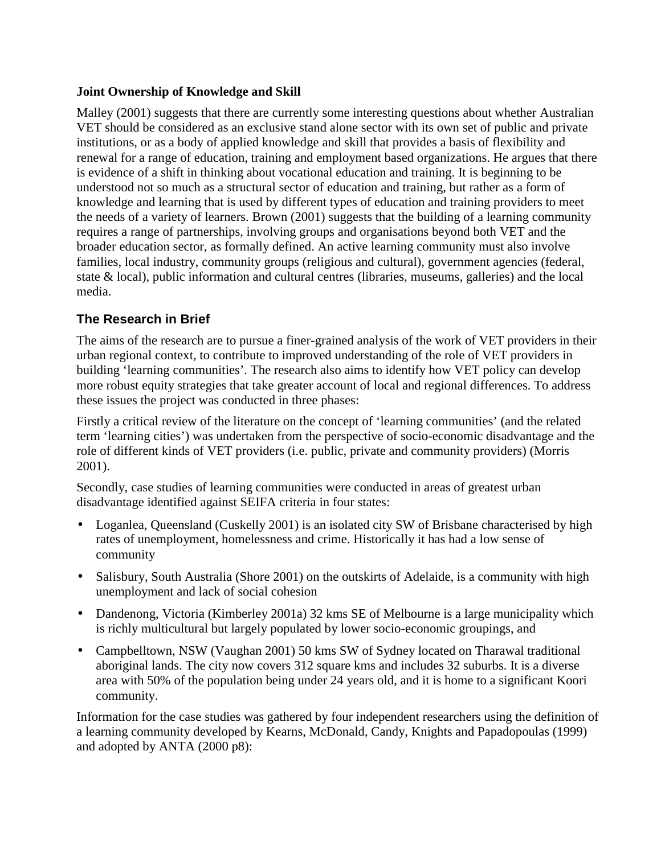### **Joint Ownership of Knowledge and Skill**

Malley (2001) suggests that there are currently some interesting questions about whether Australian VET should be considered as an exclusive stand alone sector with its own set of public and private institutions, or as a body of applied knowledge and skill that provides a basis of flexibility and renewal for a range of education, training and employment based organizations. He argues that there is evidence of a shift in thinking about vocational education and training. It is beginning to be understood not so much as a structural sector of education and training, but rather as a form of knowledge and learning that is used by different types of education and training providers to meet the needs of a variety of learners. Brown (2001) suggests that the building of a learning community requires a range of partnerships, involving groups and organisations beyond both VET and the broader education sector, as formally defined. An active learning community must also involve families, local industry, community groups (religious and cultural), government agencies (federal, state & local), public information and cultural centres (libraries, museums, galleries) and the local media.

# **The Research in Brief**

The aims of the research are to pursue a finer-grained analysis of the work of VET providers in their urban regional context, to contribute to improved understanding of the role of VET providers in building 'learning communities'. The research also aims to identify how VET policy can develop more robust equity strategies that take greater account of local and regional differences. To address these issues the project was conducted in three phases:

Firstly a critical review of the literature on the concept of 'learning communities' (and the related term 'learning cities') was undertaken from the perspective of socio-economic disadvantage and the role of different kinds of VET providers (i.e. public, private and community providers) (Morris 2001).

Secondly, case studies of learning communities were conducted in areas of greatest urban disadvantage identified against SEIFA criteria in four states:

- Loganlea, Queensland (Cuskelly 2001) is an isolated city SW of Brisbane characterised by high rates of unemployment, homelessness and crime. Historically it has had a low sense of community
- Salisbury, South Australia (Shore 2001) on the outskirts of Adelaide, is a community with high unemployment and lack of social cohesion
- Dandenong, Victoria (Kimberley 2001a) 32 kms SE of Melbourne is a large municipality which is richly multicultural but largely populated by lower socio-economic groupings, and
- Campbelltown, NSW (Vaughan 2001) 50 kms SW of Sydney located on Tharawal traditional aboriginal lands. The city now covers 312 square kms and includes 32 suburbs. It is a diverse area with 50% of the population being under 24 years old, and it is home to a significant Koori community.

Information for the case studies was gathered by four independent researchers using the definition of a learning community developed by Kearns, McDonald, Candy, Knights and Papadopoulas (1999) and adopted by ANTA (2000 p8):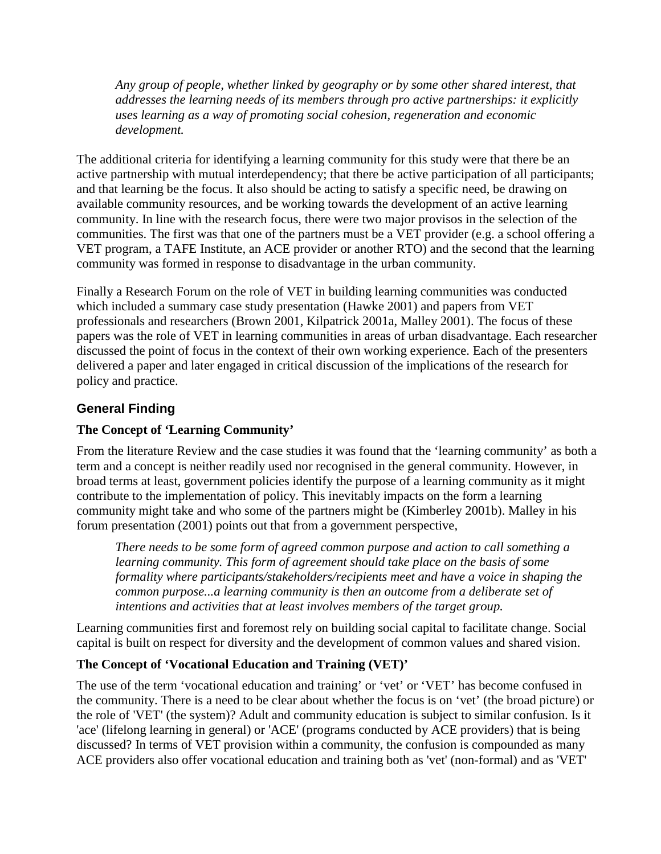*Any group of people, whether linked by geography or by some other shared interest*, *that addresses the learning needs of its members through pro active partnerships: it explicitly uses learning as a way of promoting social cohesion, regeneration and economic development.* 

The additional criteria for identifying a learning community for this study were that there be an active partnership with mutual interdependency; that there be active participation of all participants; and that learning be the focus. It also should be acting to satisfy a specific need, be drawing on available community resources, and be working towards the development of an active learning community. In line with the research focus, there were two major provisos in the selection of the communities. The first was that one of the partners must be a VET provider (e.g. a school offering a VET program, a TAFE Institute, an ACE provider or another RTO) and the second that the learning community was formed in response to disadvantage in the urban community.

Finally a Research Forum on the role of VET in building learning communities was conducted which included a summary case study presentation (Hawke 2001) and papers from VET professionals and researchers (Brown 2001, Kilpatrick 2001a, Malley 2001). The focus of these papers was the role of VET in learning communities in areas of urban disadvantage. Each researcher discussed the point of focus in the context of their own working experience. Each of the presenters delivered a paper and later engaged in critical discussion of the implications of the research for policy and practice.

# **General Finding**

### **The Concept of 'Learning Community'**

From the literature Review and the case studies it was found that the 'learning community' as both a term and a concept is neither readily used nor recognised in the general community. However, in broad terms at least, government policies identify the purpose of a learning community as it might contribute to the implementation of policy. This inevitably impacts on the form a learning community might take and who some of the partners might be (Kimberley 2001b). Malley in his forum presentation (2001) points out that from a government perspective,

*There needs to be some form of agreed common purpose and action to call something a learning community. This form of agreement should take place on the basis of some formality where participants/stakeholders/recipients meet and have a voice in shaping the common purpose...a learning community is then an outcome from a deliberate set of intentions and activities that at least involves members of the target group.*

Learning communities first and foremost rely on building social capital to facilitate change. Social capital is built on respect for diversity and the development of common values and shared vision.

# **The Concept of 'Vocational Education and Training (VET)'**

The use of the term 'vocational education and training' or 'vet' or 'VET' has become confused in the community. There is a need to be clear about whether the focus is on 'vet' (the broad picture) or the role of 'VET' (the system)? Adult and community education is subject to similar confusion. Is it 'ace' (lifelong learning in general) or 'ACE' (programs conducted by ACE providers) that is being discussed? In terms of VET provision within a community, the confusion is compounded as many ACE providers also offer vocational education and training both as 'vet' (non-formal) and as 'VET'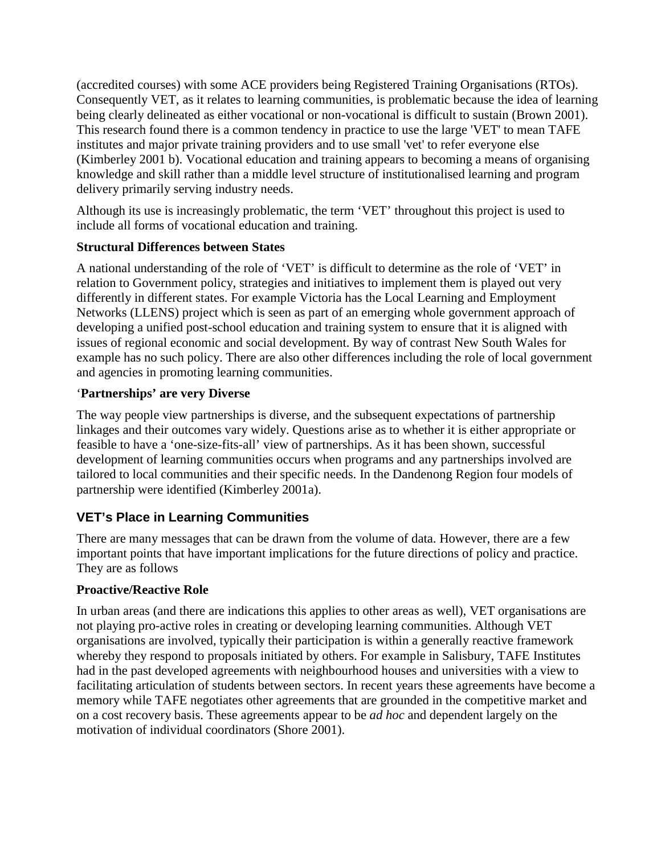(accredited courses) with some ACE providers being Registered Training Organisations (RTOs). Consequently VET, as it relates to learning communities, is problematic because the idea of learning being clearly delineated as either vocational or non-vocational is difficult to sustain (Brown 2001). This research found there is a common tendency in practice to use the large 'VET' to mean TAFE institutes and major private training providers and to use small 'vet' to refer everyone else (Kimberley 2001 b). Vocational education and training appears to becoming a means of organising knowledge and skill rather than a middle level structure of institutionalised learning and program delivery primarily serving industry needs.

Although its use is increasingly problematic, the term 'VET' throughout this project is used to include all forms of vocational education and training.

#### **Structural Differences between States**

A national understanding of the role of 'VET' is difficult to determine as the role of 'VET' in relation to Government policy, strategies and initiatives to implement them is played out very differently in different states. For example Victoria has the Local Learning and Employment Networks (LLENS) project which is seen as part of an emerging whole government approach of developing a unified post-school education and training system to ensure that it is aligned with issues of regional economic and social development. By way of contrast New South Wales for example has no such policy. There are also other differences including the role of local government and agencies in promoting learning communities.

### '**Partnerships' are very Diverse**

The way people view partnerships is diverse, and the subsequent expectations of partnership linkages and their outcomes vary widely. Questions arise as to whether it is either appropriate or feasible to have a 'one-size-fits-all' view of partnerships. As it has been shown, successful development of learning communities occurs when programs and any partnerships involved are tailored to local communities and their specific needs. In the Dandenong Region four models of partnership were identified (Kimberley 2001a).

# **VET's Place in Learning Communities**

There are many messages that can be drawn from the volume of data. However, there are a few important points that have important implications for the future directions of policy and practice. They are as follows

#### **Proactive/Reactive Role**

In urban areas (and there are indications this applies to other areas as well), VET organisations are not playing pro-active roles in creating or developing learning communities. Although VET organisations are involved, typically their participation is within a generally reactive framework whereby they respond to proposals initiated by others. For example in Salisbury, TAFE Institutes had in the past developed agreements with neighbourhood houses and universities with a view to facilitating articulation of students between sectors. In recent years these agreements have become a memory while TAFE negotiates other agreements that are grounded in the competitive market and on a cost recovery basis. These agreements appear to be *ad hoc* and dependent largely on the motivation of individual coordinators (Shore 2001).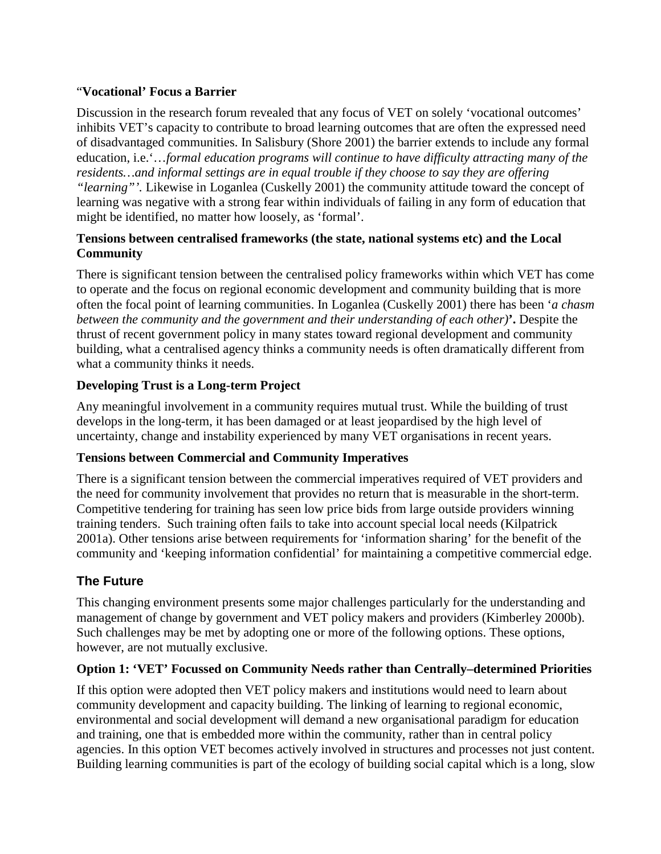### "**Vocational' Focus a Barrier**

Discussion in the research forum revealed that any focus of VET on solely 'vocational outcomes' inhibits VET's capacity to contribute to broad learning outcomes that are often the expressed need of disadvantaged communities. In Salisbury (Shore 2001) the barrier extends to include any formal education, i.e.'…*formal education programs will continue to have difficulty attracting many of the residents…and informal settings are in equal trouble if they choose to say they are offering "learning"'.* Likewise in Loganlea (Cuskelly 2001) the community attitude toward the concept of learning was negative with a strong fear within individuals of failing in any form of education that might be identified, no matter how loosely, as 'formal'.

### **Tensions between centralised frameworks (the state, national systems etc) and the Local Community**

There is significant tension between the centralised policy frameworks within which VET has come to operate and the focus on regional economic development and community building that is more often the focal point of learning communities. In Loganlea (Cuskelly 2001) there has been '*a chasm between the community and the government and their understanding of each other)***'.** Despite the thrust of recent government policy in many states toward regional development and community building, what a centralised agency thinks a community needs is often dramatically different from what a community thinks it needs.

### **Developing Trust is a Long-term Project**

Any meaningful involvement in a community requires mutual trust. While the building of trust develops in the long-term, it has been damaged or at least jeopardised by the high level of uncertainty, change and instability experienced by many VET organisations in recent years.

#### **Tensions between Commercial and Community Imperatives**

There is a significant tension between the commercial imperatives required of VET providers and the need for community involvement that provides no return that is measurable in the short-term. Competitive tendering for training has seen low price bids from large outside providers winning training tenders. Such training often fails to take into account special local needs (Kilpatrick 2001a). Other tensions arise between requirements for 'information sharing' for the benefit of the community and 'keeping information confidential' for maintaining a competitive commercial edge.

# **The Future**

This changing environment presents some major challenges particularly for the understanding and management of change by government and VET policy makers and providers (Kimberley 2000b). Such challenges may be met by adopting one or more of the following options. These options, however, are not mutually exclusive.

#### **Option 1: 'VET' Focussed on Community Needs rather than Centrally–determined Priorities**

If this option were adopted then VET policy makers and institutions would need to learn about community development and capacity building. The linking of learning to regional economic, environmental and social development will demand a new organisational paradigm for education and training, one that is embedded more within the community, rather than in central policy agencies. In this option VET becomes actively involved in structures and processes not just content. Building learning communities is part of the ecology of building social capital which is a long, slow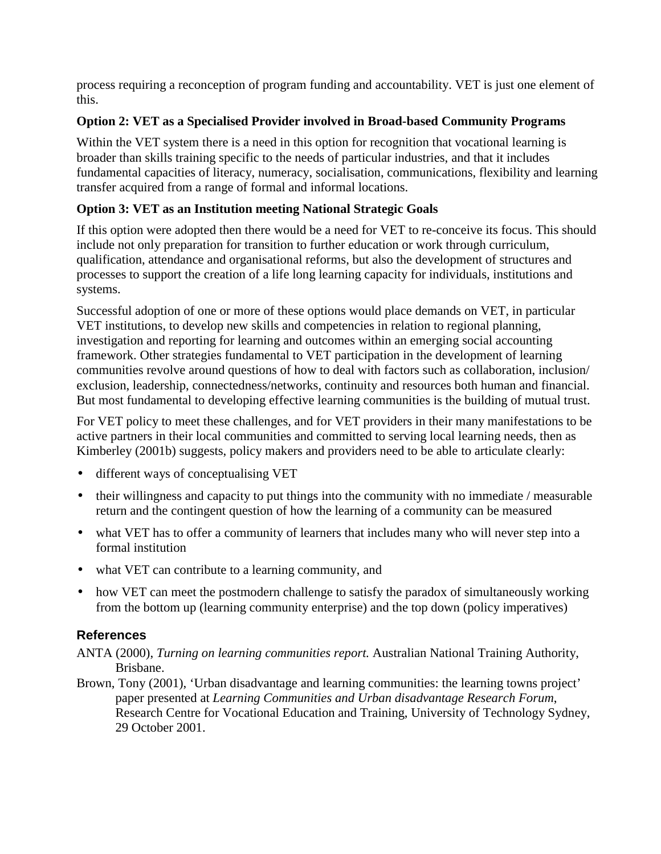process requiring a reconception of program funding and accountability. VET is just one element of this.

### **Option 2: VET as a Specialised Provider involved in Broad-based Community Programs**

Within the VET system there is a need in this option for recognition that vocational learning is broader than skills training specific to the needs of particular industries, and that it includes fundamental capacities of literacy, numeracy, socialisation, communications, flexibility and learning transfer acquired from a range of formal and informal locations.

# **Option 3: VET as an Institution meeting National Strategic Goals**

If this option were adopted then there would be a need for VET to re-conceive its focus. This should include not only preparation for transition to further education or work through curriculum, qualification, attendance and organisational reforms, but also the development of structures and processes to support the creation of a life long learning capacity for individuals, institutions and systems.

Successful adoption of one or more of these options would place demands on VET, in particular VET institutions, to develop new skills and competencies in relation to regional planning, investigation and reporting for learning and outcomes within an emerging social accounting framework. Other strategies fundamental to VET participation in the development of learning communities revolve around questions of how to deal with factors such as collaboration, inclusion/ exclusion, leadership, connectedness/networks, continuity and resources both human and financial. But most fundamental to developing effective learning communities is the building of mutual trust.

For VET policy to meet these challenges, and for VET providers in their many manifestations to be active partners in their local communities and committed to serving local learning needs, then as Kimberley (2001b) suggests, policy makers and providers need to be able to articulate clearly:

- different ways of conceptualising VET
- their willingness and capacity to put things into the community with no immediate / measurable return and the contingent question of how the learning of a community can be measured
- what VET has to offer a community of learners that includes many who will never step into a formal institution
- what VET can contribute to a learning community, and
- how VET can meet the postmodern challenge to satisfy the paradox of simultaneously working from the bottom up (learning community enterprise) and the top down (policy imperatives)

# **References**

- ANTA (2000), *Turning on learning communities report.* Australian National Training Authority, Brisbane.
- Brown, Tony (2001), 'Urban disadvantage and learning communities: the learning towns project' paper presented at *Learning Communities and Urban disadvantage Research Forum*, Research Centre for Vocational Education and Training, University of Technology Sydney, 29 October 2001.